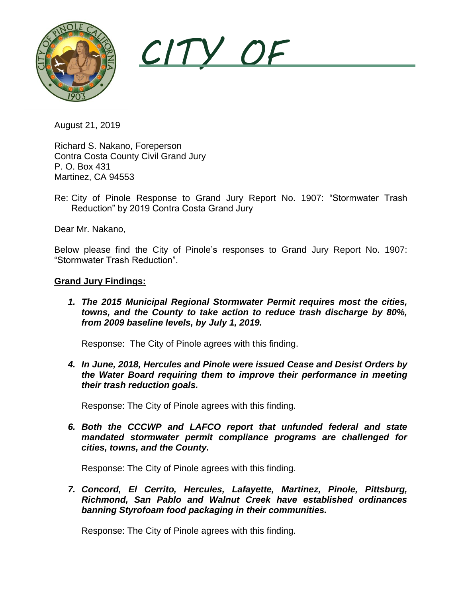

*CITY OF* 

August 21, 2019

213 Pearson Phone: (510) 724-98334 Pearson Phone: (510) 724-98334 Pearson Phone: (510) 724-98334 Pearson Phone: (510) 724-98334 Pearson Phone: (510) 724-9834 Pearson Phone: (510) 724-9834 Pearson Phone: (510) 724-9834 Pear Contra Costa County Civil Grand Jury 724-9826 FAX: (510) 724-9826 FAX: (510) 724-9826 Richard S. Nakano, Foreperson P. O. Box 431 Martinez, CA 94553

Re: City of Pinole Response to Grand Jury Report No. 1907: "Stormwater Trash Reduction" by 2019 Contra Costa Grand Jury

Dear Mr. Nakano,

Below please find the City of Pinole's responses to Grand Jury Report No. 1907: "Stormwater Trash Reduction".

#### **Grand Jury Findings:**

*1. The 2015 Municipal Regional Stormwater Permit requires most the cities, towns, and the County to take action to reduce trash discharge by 80%, from 2009 baseline levels, by July 1, 2019.*

Response: The City of Pinole agrees with this finding.

*4. In June, 2018, Hercules and Pinole were issued Cease and Desist Orders by the Water Board requiring them to improve their performance in meeting their trash reduction goals.*

Response: The City of Pinole agrees with this finding.

*6. Both the CCCWP and LAFCO report that unfunded federal and state mandated stormwater permit compliance programs are challenged for cities, towns, and the County.*

Response: The City of Pinole agrees with this finding.

*7. Concord, El Cerrito, Hercules, Lafayette, Martinez, Pinole, Pittsburg, Richmond, San Pablo and Walnut Creek have established ordinances banning Styrofoam food packaging in their communities.*

Response: The City of Pinole agrees with this finding.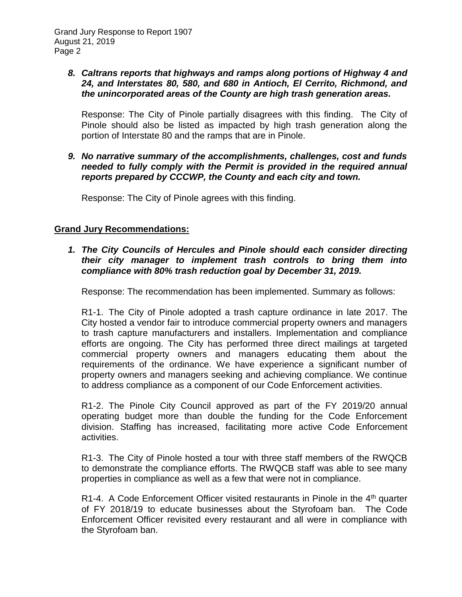# *8. Caltrans reports that highways and ramps along portions of Highway 4 and 24, and Interstates 80, 580, and 680 in Antioch, El Cerrito, Richmond, and the unincorporated areas of the County are high trash generation areas.*

Response: The City of Pinole partially disagrees with this finding. The City of Pinole should also be listed as impacted by high trash generation along the portion of Interstate 80 and the ramps that are in Pinole.

# *9. No narrative summary of the accomplishments, challenges, cost and funds needed to fully comply with the Permit is provided in the required annual reports prepared by CCCWP, the County and each city and town.*

Response: The City of Pinole agrees with this finding.

# **Grand Jury Recommendations:**

# *1. The City Councils of Hercules and Pinole should each consider directing their city manager to implement trash controls to bring them into compliance with 80% trash reduction goal by December 31, 2019.*

Response: The recommendation has been implemented. Summary as follows:

R1-1. The City of Pinole adopted a trash capture ordinance in late 2017. The City hosted a vendor fair to introduce commercial property owners and managers to trash capture manufacturers and installers. Implementation and compliance efforts are ongoing. The City has performed three direct mailings at targeted commercial property owners and managers educating them about the requirements of the ordinance. We have experience a significant number of property owners and managers seeking and achieving compliance. We continue to address compliance as a component of our Code Enforcement activities.

R1-2. The Pinole City Council approved as part of the FY 2019/20 annual operating budget more than double the funding for the Code Enforcement division. Staffing has increased, facilitating more active Code Enforcement activities.

R1-3. The City of Pinole hosted a tour with three staff members of the RWQCB to demonstrate the compliance efforts. The RWQCB staff was able to see many properties in compliance as well as a few that were not in compliance.

R1-4. A Code Enforcement Officer visited restaurants in Pinole in the 4<sup>th</sup> quarter of FY 2018/19 to educate businesses about the Styrofoam ban. The Code Enforcement Officer revisited every restaurant and all were in compliance with the Styrofoam ban.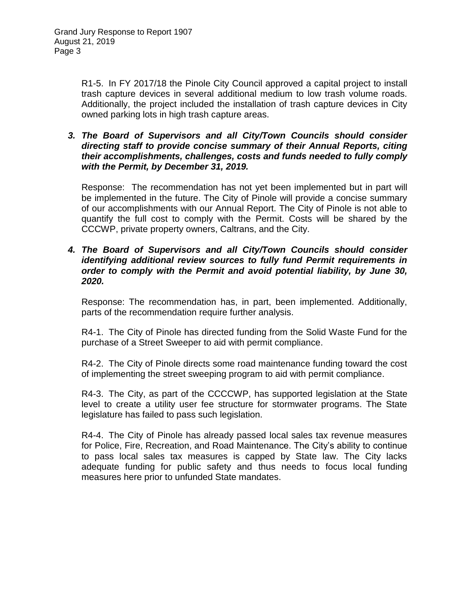R1-5. In FY 2017/18 the Pinole City Council approved a capital project to install trash capture devices in several additional medium to low trash volume roads. Additionally, the project included the installation of trash capture devices in City owned parking lots in high trash capture areas.

### *3. The Board of Supervisors and all City/Town Councils should consider directing staff to provide concise summary of their Annual Reports, citing their accomplishments, challenges, costs and funds needed to fully comply with the Permit, by December 31, 2019.*

Response: The recommendation has not yet been implemented but in part will be implemented in the future. The City of Pinole will provide a concise summary of our accomplishments with our Annual Report. The City of Pinole is not able to quantify the full cost to comply with the Permit. Costs will be shared by the CCCWP, private property owners, Caltrans, and the City.

### *4. The Board of Supervisors and all City/Town Councils should consider identifying additional review sources to fully fund Permit requirements in order to comply with the Permit and avoid potential liability, by June 30, 2020.*

Response: The recommendation has, in part, been implemented. Additionally, parts of the recommendation require further analysis.

R4-1. The City of Pinole has directed funding from the Solid Waste Fund for the purchase of a Street Sweeper to aid with permit compliance.

R4-2. The City of Pinole directs some road maintenance funding toward the cost of implementing the street sweeping program to aid with permit compliance.

R4-3. The City, as part of the CCCCWP, has supported legislation at the State level to create a utility user fee structure for stormwater programs. The State legislature has failed to pass such legislation.

R4-4. The City of Pinole has already passed local sales tax revenue measures for Police, Fire, Recreation, and Road Maintenance. The City's ability to continue to pass local sales tax measures is capped by State law. The City lacks adequate funding for public safety and thus needs to focus local funding measures here prior to unfunded State mandates.